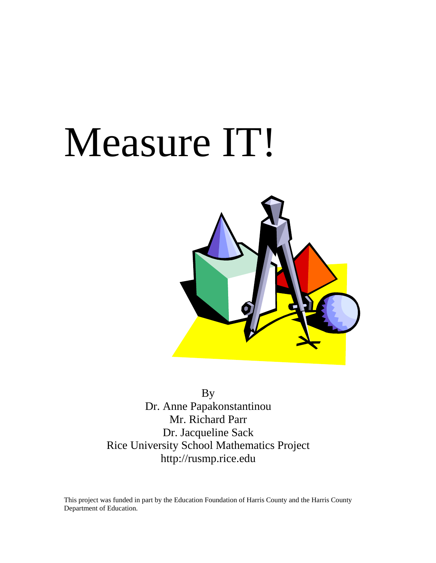# Measure IT!



By Dr. Anne Papakonstantinou Mr. Richard Parr Dr. Jacqueline Sack Rice University School Mathematics Project <http://rusmp.rice.edu>

This project was funded in part by the Education Foundation of Harris County and the Harris County Department of Education.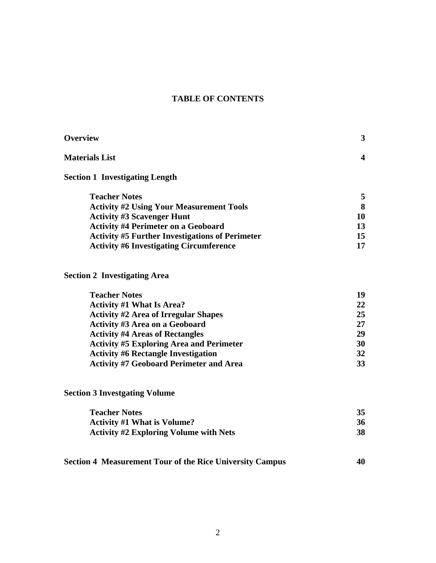## **TABLE OF CONTENTS**

| Overview                                               | 3  |
|--------------------------------------------------------|----|
| <b>Materials List</b>                                  |    |
| <b>Section 1 Investigating Length</b>                  |    |
| <b>Teacher Notes</b>                                   | 5  |
| <b>Activity #2 Using Your Measurement Tools</b>        | 8  |
| <b>Activity #3 Scavenger Hunt</b>                      | 10 |
| <b>Activity #4 Perimeter on a Geoboard</b>             | 13 |
| <b>Activity #5 Further Investigations of Perimeter</b> | 15 |
| <b>Activity #6 Investigating Circumference</b>         |    |
|                                                        |    |

# **Section 2 Investigating Area**

| <b>Teacher Notes</b>                            | 19 |
|-------------------------------------------------|----|
| <b>Activity #1 What Is Area?</b>                | 22 |
| <b>Activity #2 Area of Irregular Shapes</b>     | 25 |
| <b>Activity #3 Area on a Geoboard</b>           | 27 |
| <b>Activity #4 Areas of Rectangles</b>          | 29 |
| <b>Activity #5 Exploring Area and Perimeter</b> | 30 |
| <b>Activity #6 Rectangle Investigation</b>      | 32 |
| <b>Activity #7 Geoboard Perimeter and Area</b>  | 33 |

# **Section 3 Investgating Volume**

| <b>Teacher Notes</b>                          |    |
|-----------------------------------------------|----|
| <b>Activity #1 What is Volume?</b>            | 36 |
| <b>Activity #2 Exploring Volume with Nets</b> | 38 |

| <b>Section 4 Measurement Tour of the Rice University Campus</b> |  | 40 |
|-----------------------------------------------------------------|--|----|
|                                                                 |  |    |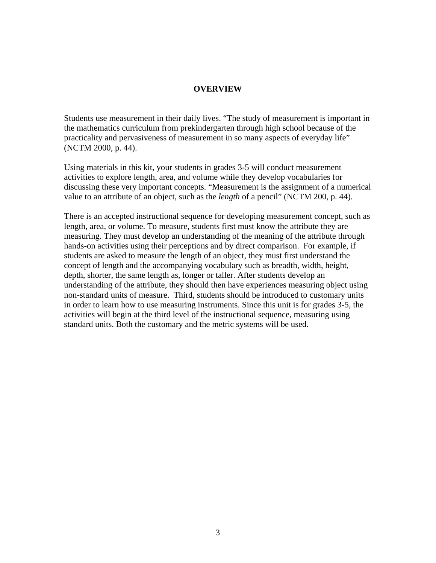#### **OVERVIEW**

<span id="page-2-0"></span>Students use measurement in their daily lives. "The study of measurement is important in the mathematics curriculum from prekindergarten through high school because of the practicality and pervasiveness of measurement in so many aspects of everyday life" (NCTM 2000, p. 44).

Using materials in this kit, your students in grades 3-5 will conduct measurement activities to explore length, area, and volume while they develop vocabularies for discussing these very important concepts. "Measurement is the assignment of a numerical value to an attribute of an object, such as the *length* of a pencil" (NCTM 200, p. 44).

There is an accepted instructional sequence for developing measurement concept, such as length, area, or volume. To measure, students first must know the attribute they are measuring. They must develop an understanding of the meaning of the attribute through hands-on activities using their perceptions and by direct comparison. For example, if students are asked to measure the length of an object, they must first understand the concept of length and the accompanying vocabulary such as breadth, width, height, depth, shorter, the same length as, longer or taller. After students develop an understanding of the attribute, they should then have experiences measuring object using non-standard units of measure. Third, students should be introduced to customary units in order to learn how to use measuring instruments. Since this unit is for grades 3-5, the activities will begin at the third level of the instructional sequence, measuring using standard units. Both the customary and the metric systems will be used.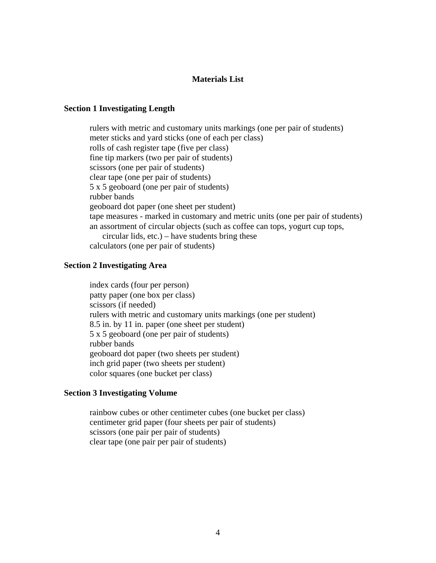#### **Materials List**

#### <span id="page-3-0"></span>**Section 1 Investigating Length**

rulers with metric and customary units markings (one per pair of students) meter sticks and yard sticks (one of each per class) rolls of cash register tape (five per class) fine tip markers (two per pair of students) scissors (one per pair of students) clear tape (one per pair of students) 5 x 5 geoboard (one per pair of students) rubber bands geoboard dot paper (one sheet per student) tape measures - marked in customary and metric units (one per pair of students) an assortment of circular objects (such as coffee can tops, yogurt cup tops, circular lids, etc.) – have students bring these calculators (one per pair of students)

#### **Section 2 Investigating Area**

index cards (four per person) patty paper (one box per class) scissors (if needed) rulers with metric and customary units markings (one per student) 8.5 in. by 11 in. paper (one sheet per student) 5 x 5 geoboard (one per pair of students) rubber bands geoboard dot paper (two sheets per student) inch grid paper (two sheets per student) color squares (one bucket per class)

#### **Section 3 Investigating Volume**

rainbow cubes or other centimeter cubes (one bucket per class) centimeter grid paper (four sheets per pair of students) scissors (one pair per pair of students) clear tape (one pair per pair of students)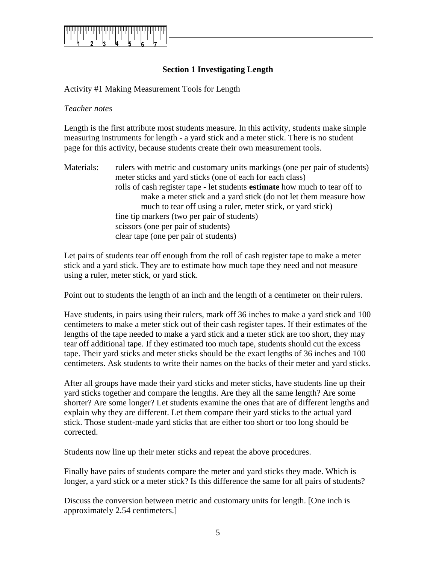<span id="page-4-0"></span>

## **Section 1 Investigating Length**

#### Activity #1 Making Measurement Tools for Length

#### *Teacher notes*

Length is the first attribute most students measure. In this activity, students make simple measuring instruments for length - a yard stick and a meter stick. There is no student page for this activity, because students create their own measurement tools.

Materials: rulers with metric and customary units markings (one per pair of students) meter sticks and yard sticks (one of each for each class) rolls of cash register tape - let students **estimate** how much to tear off to make a meter stick and a yard stick (do not let them measure how much to tear off using a ruler, meter stick, or yard stick) fine tip markers (two per pair of students) scissors (one per pair of students) clear tape (one per pair of students)

Let pairs of students tear off enough from the roll of cash register tape to make a meter stick and a yard stick. They are to estimate how much tape they need and not measure using a ruler, meter stick, or yard stick.

Point out to students the length of an inch and the length of a centimeter on their rulers.

Have students, in pairs using their rulers, mark off 36 inches to make a yard stick and 100 centimeters to make a meter stick out of their cash register tapes. If their estimates of the lengths of the tape needed to make a yard stick and a meter stick are too short, they may tear off additional tape. If they estimated too much tape, students should cut the excess tape. Their yard sticks and meter sticks should be the exact lengths of 36 inches and 100 centimeters. Ask students to write their names on the backs of their meter and yard sticks.

After all groups have made their yard sticks and meter sticks, have students line up their yard sticks together and compare the lengths. Are they all the same length? Are some shorter? Are some longer? Let students examine the ones that are of different lengths and explain why they are different. Let them compare their yard sticks to the actual yard stick. Those student-made yard sticks that are either too short or too long should be corrected.

Students now line up their meter sticks and repeat the above procedures.

Finally have pairs of students compare the meter and yard sticks they made. Which is longer, a yard stick or a meter stick? Is this difference the same for all pairs of students?

Discuss the conversion between metric and customary units for length. [One inch is approximately 2.54 centimeters.]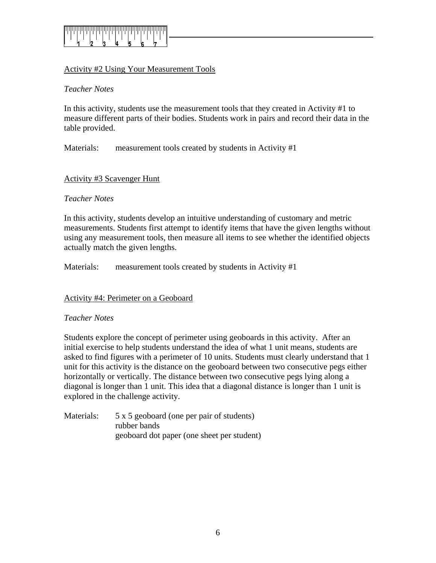

## Activity #2 Using Your Measurement Tools

#### *Teacher Notes*

In this activity, students use the measurement tools that they created in Activity #1 to measure different parts of their bodies. Students work in pairs and record their data in the table provided.

Materials: measurement tools created by students in Activity #1

#### Activity #3 Scavenger Hunt

#### *Teacher Notes*

In this activity, students develop an intuitive understanding of customary and metric measurements. Students first attempt to identify items that have the given lengths without using any measurement tools, then measure all items to see whether the identified objects actually match the given lengths.

Materials: measurement tools created by students in Activity #1

#### Activity #4: Perimeter on a Geoboard

#### *Teacher Notes*

Students explore the concept of perimeter using geoboards in this activity. After an initial exercise to help students understand the idea of what 1 unit means, students are asked to find figures with a perimeter of 10 units. Students must clearly understand that 1 unit for this activity is the distance on the geoboard between two consecutive pegs either horizontally or vertically. The distance between two consecutive pegs lying along a diagonal is longer than 1 unit. This idea that a diagonal distance is longer than 1 unit is explored in the challenge activity.

Materials: 5 x 5 geoboard (one per pair of students) rubber bands geoboard dot paper (one sheet per student)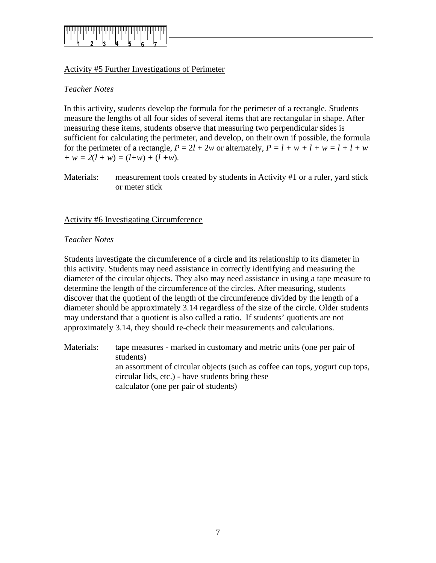

## Activity #5 Further Investigations of Perimeter

## *Teacher Notes*

In this activity, students develop the formula for the perimeter of a rectangle. Students measure the lengths of all four sides of several items that are rectangular in shape. After measuring these items, students observe that measuring two perpendicular sides is sufficient for calculating the perimeter, and develop, on their own if possible, the formula for the perimeter of a rectangle,  $P = 2l + 2w$  or alternately,  $P = l + w + l + w = l + l + w$  $+ w = 2(l + w) = (l+w) + (l+w)$ .

Materials: measurement tools created by students in Activity #1 or a ruler, yard stick or meter stick

Activity #6 Investigating Circumference

#### *Teacher Notes*

Students investigate the circumference of a circle and its relationship to its diameter in this activity. Students may need assistance in correctly identifying and measuring the diameter of the circular objects. They also may need assistance in using a tape measure to determine the length of the circumference of the circles. After measuring, students discover that the quotient of the length of the circumference divided by the length of a diameter should be approximately 3.14 regardless of the size of the circle. Older students may understand that a quotient is also called a ratio. If students' quotients are not approximately 3.14, they should re-check their measurements and calculations.

Materials: tape measures - marked in customary and metric units (one per pair of students) an assortment of circular objects (such as coffee can tops, yogurt cup tops, circular lids, etc.) - have students bring these calculator (one per pair of students)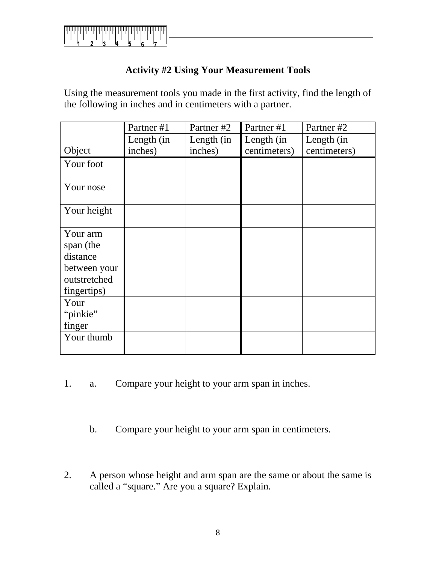

## **Activity #2 Using Your Measurement Tools**

Using the measurement tools you made in the first activity, find the length of the following in inches and in centimeters with a partner.

|              | Partner #1 | Partner #2 | Partner #1   | Partner #2   |
|--------------|------------|------------|--------------|--------------|
|              | Length (in | Length (in | Length (in   | Length (in   |
| Object       | inches)    | inches)    | centimeters) | centimeters) |
| Your foot    |            |            |              |              |
| Your nose    |            |            |              |              |
| Your height  |            |            |              |              |
| Your arm     |            |            |              |              |
| span (the    |            |            |              |              |
| distance     |            |            |              |              |
| between your |            |            |              |              |
| outstretched |            |            |              |              |
| fingertips)  |            |            |              |              |
| Your         |            |            |              |              |
| "pinkie"     |            |            |              |              |
| finger       |            |            |              |              |
| Your thumb   |            |            |              |              |

- 1. a. Compare your height to your arm span in inches.
	- b. Compare your height to your arm span in centimeters.
- 2. A person whose height and arm span are the same or about the same is called a "square." Are you a square? Explain.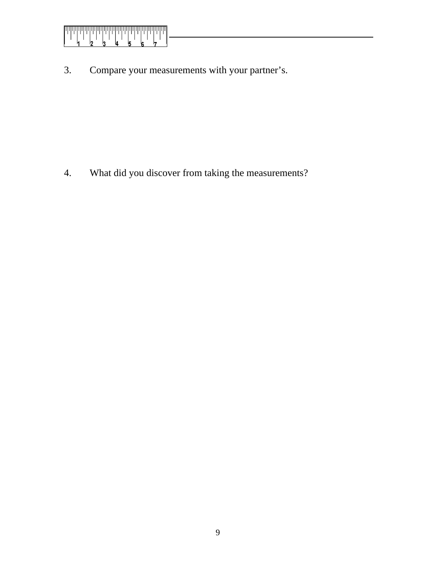

3. Compare your measurements with your partner's.

4. What did you discover from taking the measurements?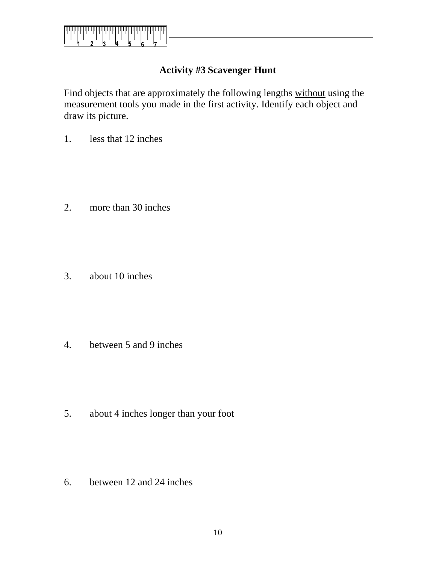<span id="page-9-0"></span>

# **Activity #3 Scavenger Hunt**

Find objects that are approximately the following lengths without using the measurement tools you made in the first activity. Identify each object and draw its picture.

1. less that 12 inches

2. more than 30 inches

3. about 10 inches

4. between 5 and 9 inches

5. about 4 inches longer than your foot

6. between 12 and 24 inches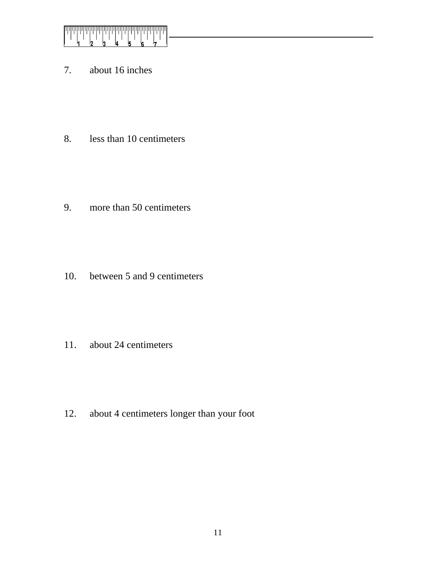

7. about 16 inches

8. less than 10 centimeters

9. more than 50 centimeters

10. between 5 and 9 centimeters

11. about 24 centimeters

12. about 4 centimeters longer than your foot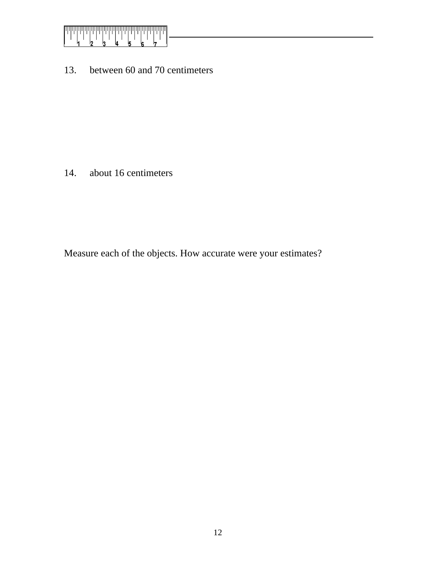

13. between 60 and 70 centimeters

14. about 16 centimeters

Measure each of the objects. How accurate were your estimates?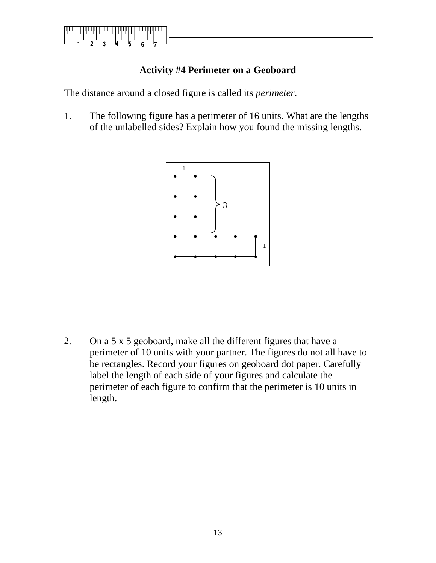<span id="page-12-0"></span>

# **Activity #4 Perimeter on a Geoboard**

The distance around a closed figure is called its *perimeter*.

1. The following figure has a perimeter of 16 units. What are the lengths of the unlabelled sides? Explain how you found the missing lengths.



2. On a 5 x 5 geoboard, make all the different figures that have a perimeter of 10 units with your partner. The figures do not all have to be rectangles. Record your figures on geoboard dot paper. Carefully label the length of each side of your figures and calculate the perimeter of each figure to confirm that the perimeter is 10 units in length.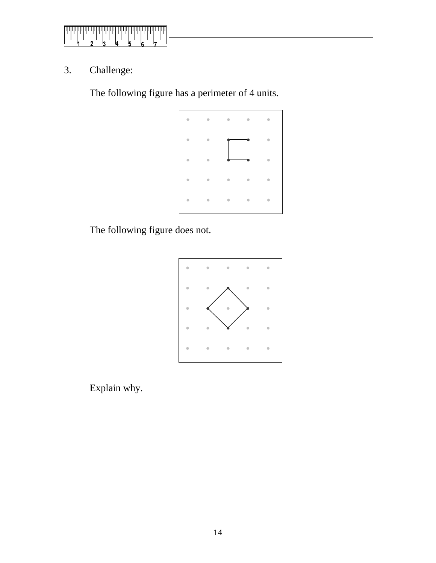

3. Challenge:

The following figure has a perimeter of 4 units.



The following figure does not.



Explain why.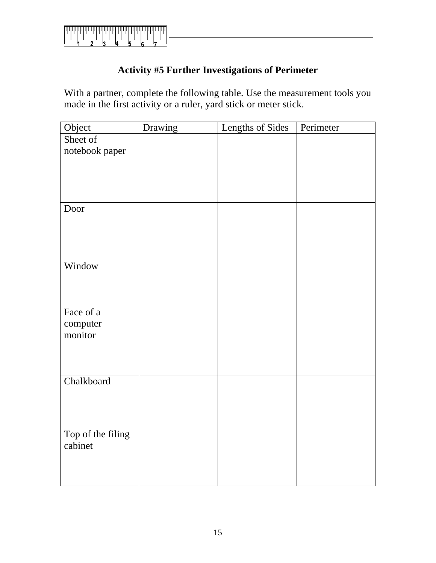

# **Activity #5 Further Investigations of Perimeter**

With a partner, complete the following table. Use the measurement tools you made in the first activity or a ruler, yard stick or meter stick.

| Object                       | Drawing | Lengths of Sides | Perimeter |
|------------------------------|---------|------------------|-----------|
| Sheet of                     |         |                  |           |
| notebook paper               |         |                  |           |
|                              |         |                  |           |
|                              |         |                  |           |
|                              |         |                  |           |
|                              |         |                  |           |
| Door                         |         |                  |           |
|                              |         |                  |           |
|                              |         |                  |           |
|                              |         |                  |           |
|                              |         |                  |           |
| Window                       |         |                  |           |
|                              |         |                  |           |
|                              |         |                  |           |
| Face of a                    |         |                  |           |
| computer                     |         |                  |           |
| monitor                      |         |                  |           |
|                              |         |                  |           |
|                              |         |                  |           |
|                              |         |                  |           |
| Chalkboard                   |         |                  |           |
|                              |         |                  |           |
|                              |         |                  |           |
|                              |         |                  |           |
|                              |         |                  |           |
| Top of the filing<br>cabinet |         |                  |           |
|                              |         |                  |           |
|                              |         |                  |           |
|                              |         |                  |           |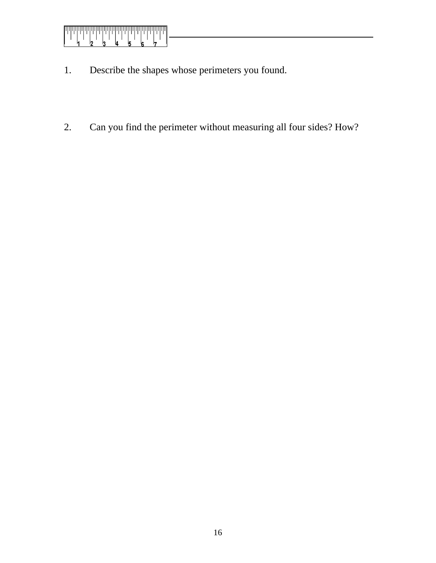

- 1. Describe the shapes whose perimeters you found.
- 2. Can you find the perimeter without measuring all four sides? How?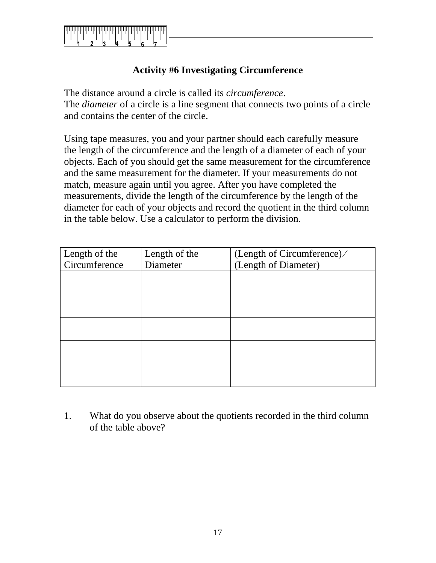

# **Activity #6 Investigating Circumference**

The distance around a circle is called its *circumference*. The *diameter* of a circle is a line segment that connects two points of a circle and contains the center of the circle.

Using tape measures, you and your partner should each carefully measure the length of the circumference and the length of a diameter of each of your objects. Each of you should get the same measurement for the circumference and the same measurement for the diameter. If your measurements do not match, measure again until you agree. After you have completed the measurements, divide the length of the circumference by the length of the diameter for each of your objects and record the quotient in the third column in the table below. Use a calculator to perform the division.

| Length of the | Length of the | (Length of Circumference)/ |
|---------------|---------------|----------------------------|
| Circumference | Diameter      | (Length of Diameter)       |
|               |               |                            |
|               |               |                            |
|               |               |                            |
|               |               |                            |
|               |               |                            |
|               |               |                            |
|               |               |                            |
|               |               |                            |
|               |               |                            |
|               |               |                            |

1. What do you observe about the quotients recorded in the third column of the table above?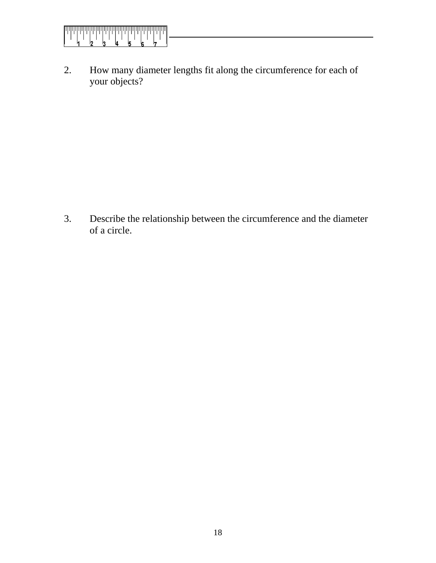

2. How many diameter lengths fit along the circumference for each of your objects?

3. Describe the relationship between the circumference and the diameter of a circle.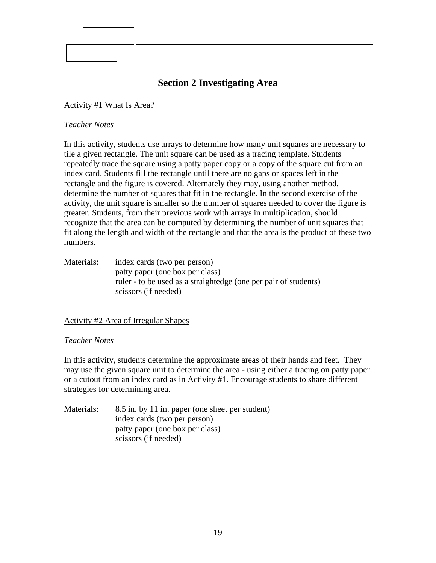<span id="page-18-0"></span>

# **Section 2 Investigating Area**

#### Activity #1 What Is Area?

#### *Teacher Notes*

In this activity, students use arrays to determine how many unit squares are necessary to tile a given rectangle. The unit square can be used as a tracing template. Students repeatedly trace the square using a patty paper copy or a copy of the square cut from an index card. Students fill the rectangle until there are no gaps or spaces left in the rectangle and the figure is covered. Alternately they may, using another method, determine the number of squares that fit in the rectangle. In the second exercise of the activity, the unit square is smaller so the number of squares needed to cover the figure is greater. Students, from their previous work with arrays in multiplication, should recognize that the area can be computed by determining the number of unit squares that fit along the length and width of the rectangle and that the area is the product of these two numbers.

Materials: index cards (two per person) patty paper (one box per class) ruler - to be used as a straightedge (one per pair of students) scissors (if needed)

#### Activity #2 Area of Irregular Shapes

#### *Teacher Notes*

In this activity, students determine the approximate areas of their hands and feet. They may use the given square unit to determine the area - using either a tracing on patty paper or a cutout from an index card as in Activity #1. Encourage students to share different strategies for determining area.

Materials: 8.5 in. by 11 in. paper (one sheet per student) index cards (two per person) patty paper (one box per class) scissors (if needed)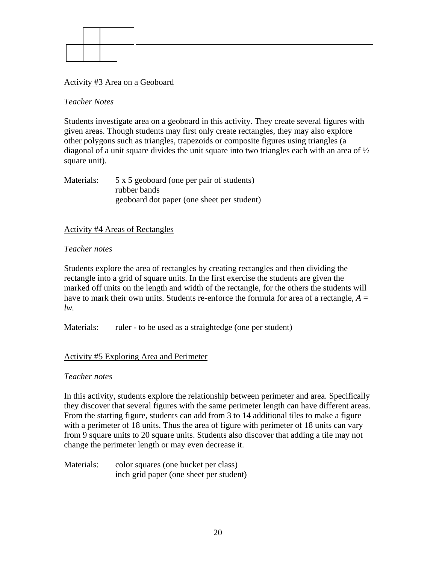

#### Activity #3 Area on a Geoboard

#### *Teacher Notes*

Students investigate area on a geoboard in this activity. They create several figures with given areas. Though students may first only create rectangles, they may also explore other polygons such as triangles, trapezoids or composite figures using triangles (a diagonal of a unit square divides the unit square into two triangles each with an area of  $\frac{1}{2}$ square unit).

Materials: 5 x 5 geoboard (one per pair of students) rubber bands geoboard dot paper (one sheet per student)

#### Activity #4 Areas of Rectangles

#### *Teacher notes*

Students explore the area of rectangles by creating rectangles and then dividing the rectangle into a grid of square units. In the first exercise the students are given the marked off units on the length and width of the rectangle, for the others the students will have to mark their own units. Students re-enforce the formula for area of a rectangle,  $A =$ *lw.* 

Materials: ruler - to be used as a straightedge (one per student)

## Activity #5 Exploring Area and Perimeter

#### *Teacher notes*

In this activity, students explore the relationship between perimeter and area. Specifically they discover that several figures with the same perimeter length can have different areas. From the starting figure, students can add from 3 to 14 additional tiles to make a figure with a perimeter of 18 units. Thus the area of figure with perimeter of 18 units can vary from 9 square units to 20 square units. Students also discover that adding a tile may not change the perimeter length or may even decrease it.

Materials: color squares (one bucket per class) inch grid paper (one sheet per student)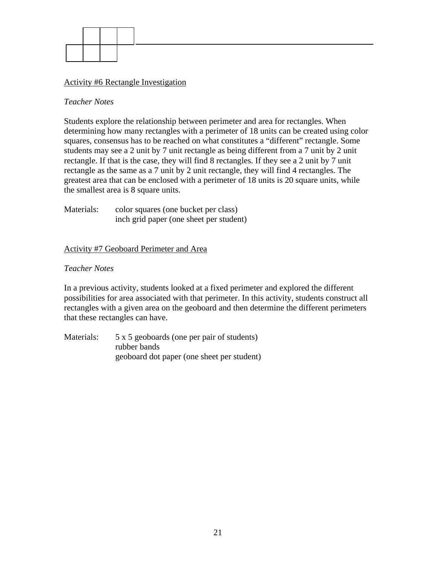

#### Activity #6 Rectangle Investigation

#### *Teacher Notes*

Students explore the relationship between perimeter and area for rectangles. When determining how many rectangles with a perimeter of 18 units can be created using color squares, consensus has to be reached on what constitutes a "different" rectangle. Some students may see a 2 unit by 7 unit rectangle as being different from a 7 unit by 2 unit rectangle. If that is the case, they will find 8 rectangles. If they see a 2 unit by 7 unit rectangle as the same as a 7 unit by 2 unit rectangle, they will find 4 rectangles. The greatest area that can be enclosed with a perimeter of 18 units is 20 square units, while the smallest area is 8 square units.

Materials: color squares (one bucket per class) inch grid paper (one sheet per student)

#### Activity #7 Geoboard Perimeter and Area

#### *Teacher Notes*

In a previous activity, students looked at a fixed perimeter and explored the different possibilities for area associated with that perimeter. In this activity, students construct all rectangles with a given area on the geoboard and then determine the different perimeters that these rectangles can have.

Materials: 5 x 5 geoboards (one per pair of students) rubber bands geoboard dot paper (one sheet per student)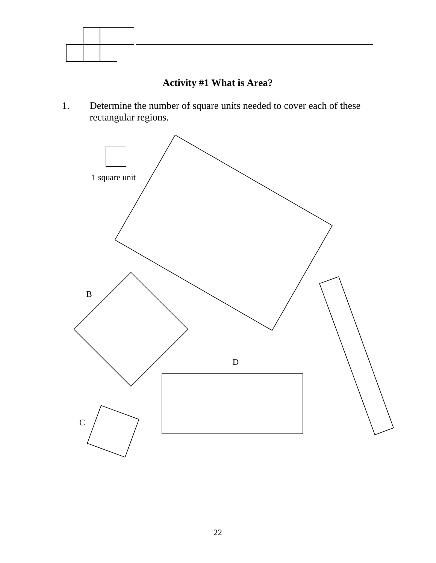<span id="page-21-0"></span>

# **Activity #1 What is Area?**

1. Determine the number of square units needed to cover each of these rectangular regions.

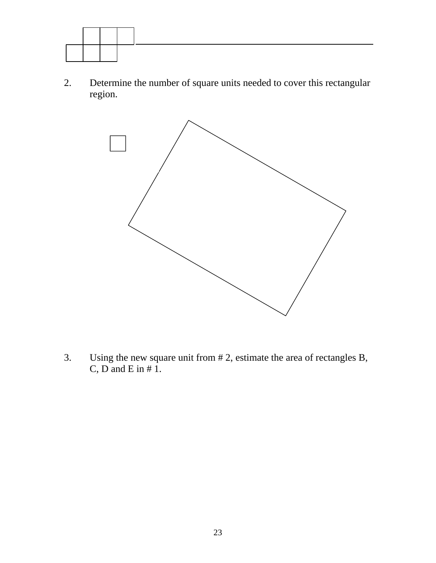

2. Determine the number of square units needed to cover this rectangular region.



3. Using the new square unit from # 2, estimate the area of rectangles B, C,  $\overrightarrow{D}$  and  $\overrightarrow{E}$  in # 1.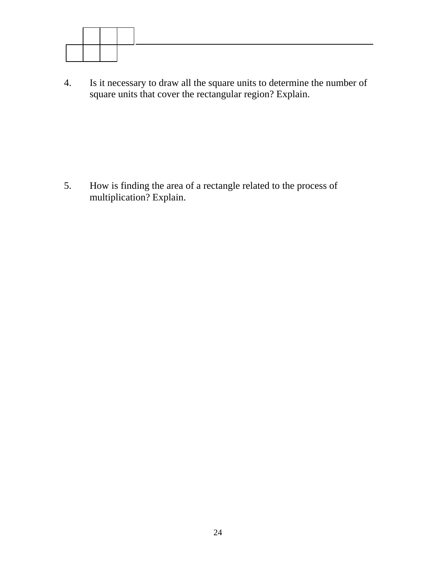

4. Is it necessary to draw all the square units to determine the number of square units that cover the rectangular region? Explain.

5. How is finding the area of a rectangle related to the process of multiplication? Explain.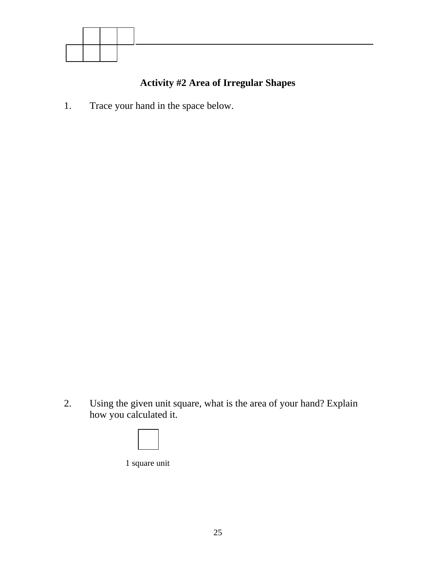<span id="page-24-0"></span>

# **Activity #2 Area of Irregular Shapes**

1. Trace your hand in the space below.

2. Using the given unit square, what is the area of your hand? Explain how you calculated it.

1 square unit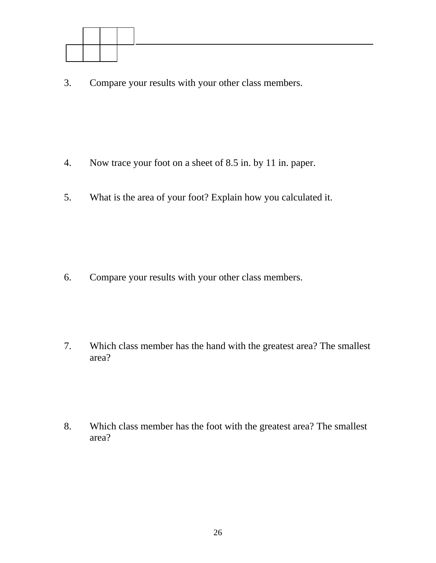

3. Compare your results with your other class members.

- 4. Now trace your foot on a sheet of 8.5 in. by 11 in. paper.
- 5. What is the area of your foot? Explain how you calculated it.

6. Compare your results with your other class members.

7. Which class member has the hand with the greatest area? The smallest area?

8. Which class member has the foot with the greatest area? The smallest area?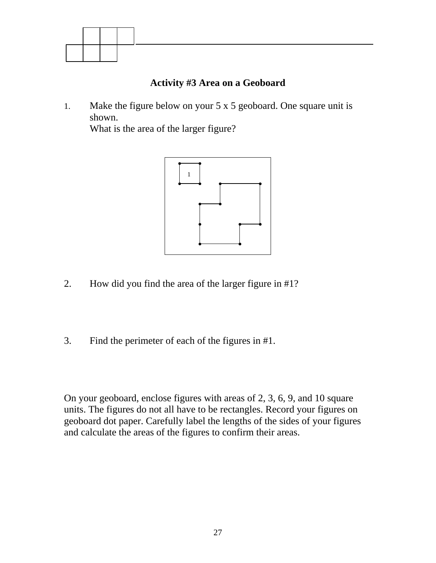<span id="page-26-0"></span>

# **Activity #3 Area on a Geoboard**

1. Make the figure below on your 5 x 5 geoboard. One square unit is shown.

What is the area of the larger figure?



- 2. How did you find the area of the larger figure in #1?
- 3. Find the perimeter of each of the figures in #1.

On your geoboard, enclose figures with areas of 2, 3, 6, 9, and 10 square units. The figures do not all have to be rectangles. Record your figures on geoboard dot paper. Carefully label the lengths of the sides of your figures and calculate the areas of the figures to confirm their areas.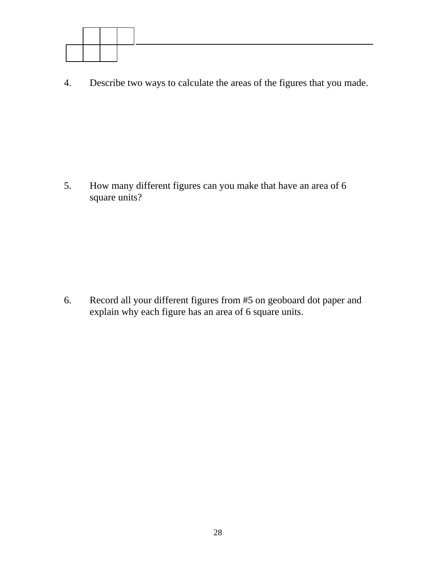

4. Describe two ways to calculate the areas of the figures that you made.

5. How many different figures can you make that have an area of 6 square units?

6. Record all your different figures from #5 on geoboard dot paper and explain why each figure has an area of 6 square units.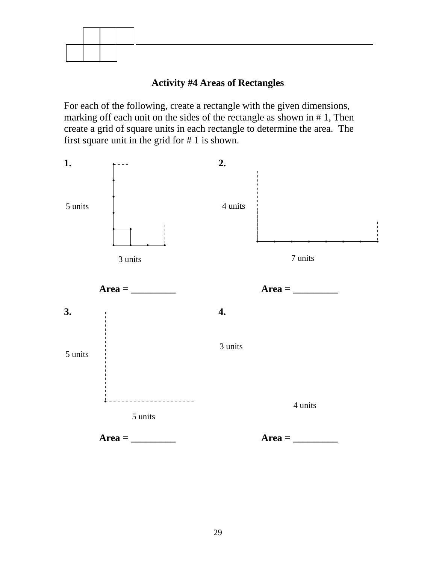<span id="page-28-0"></span>

# **Activity #4 Areas of Rectangles**

For each of the following, create a rectangle with the given dimensions, marking off each unit on the sides of the rectangle as shown in # 1, Then create a grid of square units in each rectangle to determine the area. The first square unit in the grid for # 1 is shown.

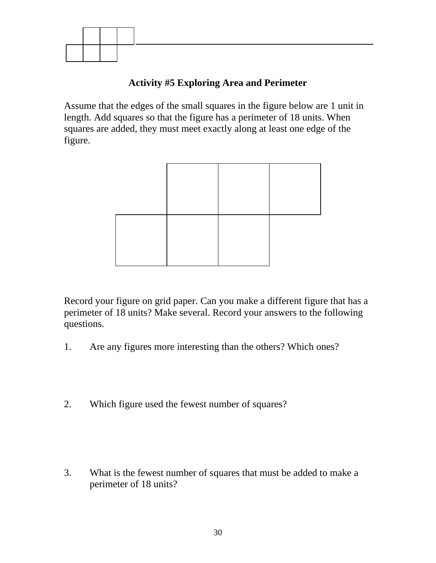<span id="page-29-0"></span>

# **Activity #5 Exploring Area and Perimeter**

Assume that the edges of the small squares in the figure below are 1 unit in length. Add squares so that the figure has a perimeter of 18 units. When squares are added, they must meet exactly along at least one edge of the figure.



Record your figure on grid paper. Can you make a different figure that has a perimeter of 18 units? Make several. Record your answers to the following questions.

- 1. Are any figures more interesting than the others? Which ones?
- 2. Which figure used the fewest number of squares?

3. What is the fewest number of squares that must be added to make a perimeter of 18 units?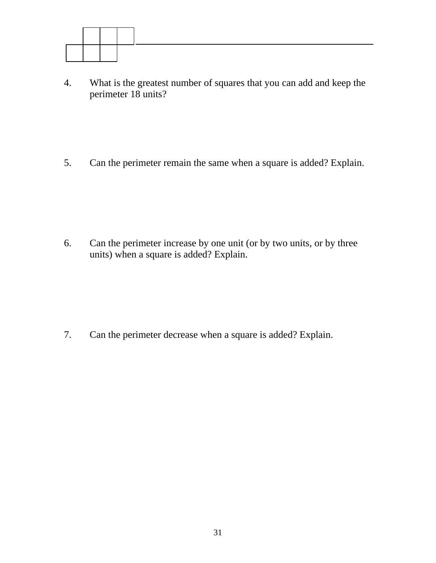

4. What is the greatest number of squares that you can add and keep the perimeter 18 units?

5. Can the perimeter remain the same when a square is added? Explain.

6. Can the perimeter increase by one unit (or by two units, or by three units) when a square is added? Explain.

7. Can the perimeter decrease when a square is added? Explain.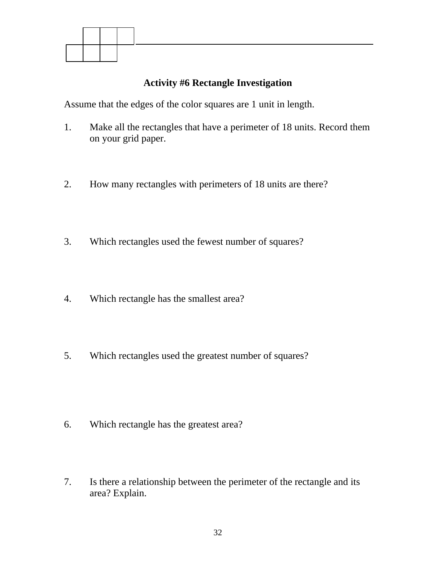<span id="page-31-0"></span>

# **Activity #6 Rectangle Investigation**

Assume that the edges of the color squares are 1 unit in length.

- 1. Make all the rectangles that have a perimeter of 18 units. Record them on your grid paper.
- 2. How many rectangles with perimeters of 18 units are there?
- 3. Which rectangles used the fewest number of squares?
- 4. Which rectangle has the smallest area?
- 5. Which rectangles used the greatest number of squares?

- 6. Which rectangle has the greatest area?
- 7. Is there a relationship between the perimeter of the rectangle and its area? Explain.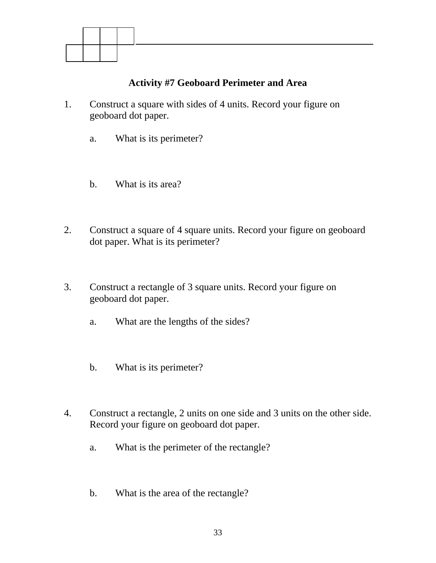<span id="page-32-0"></span>

# **Activity #7 Geoboard Perimeter and Area**

- 1. Construct a square with sides of 4 units. Record your figure on geoboard dot paper.
	- a. What is its perimeter?
	- b. What is its area?
- 2. Construct a square of 4 square units. Record your figure on geoboard dot paper. What is its perimeter?
- 3. Construct a rectangle of 3 square units. Record your figure on geoboard dot paper.
	- a. What are the lengths of the sides?
	- b. What is its perimeter?
- 4. Construct a rectangle, 2 units on one side and 3 units on the other side. Record your figure on geoboard dot paper.
	- a. What is the perimeter of the rectangle?
	- b. What is the area of the rectangle?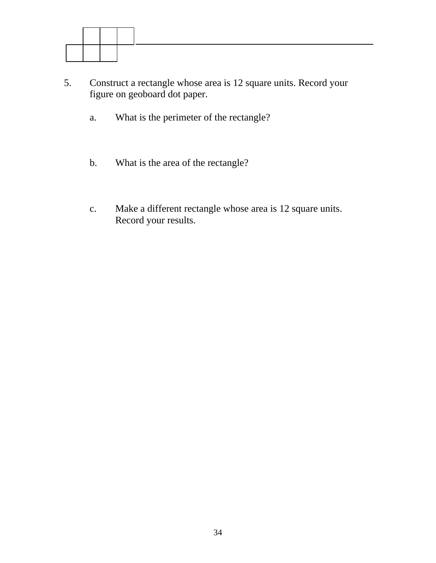

- 5. Construct a rectangle whose area is 12 square units. Record your figure on geoboard dot paper.
	- a. What is the perimeter of the rectangle?
	- b. What is the area of the rectangle?
	- c. Make a different rectangle whose area is 12 square units. Record your results.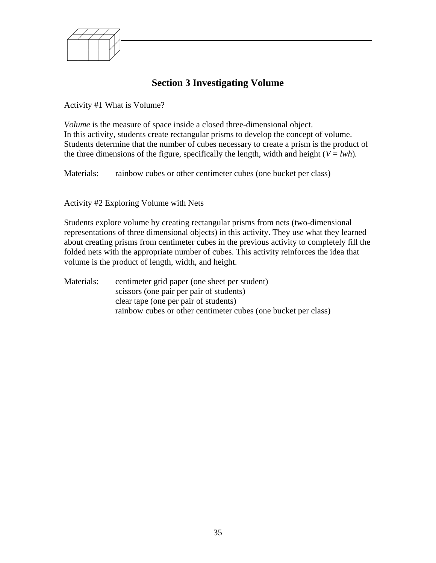<span id="page-34-0"></span>

# **Section 3 Investigating Volume**

#### Activity #1 What is Volume?

*Volume* is the measure of space inside a closed three-dimensional object. In this activity, students create rectangular prisms to develop the concept of volume. Students determine that the number of cubes necessary to create a prism is the product of the three dimensions of the figure, specifically the length, width and height ( $V = lwh$ ).

Materials: rainbow cubes or other centimeter cubes (one bucket per class)

#### Activity #2 Exploring Volume with Nets

Students explore volume by creating rectangular prisms from nets (two-dimensional representations of three dimensional objects) in this activity. They use what they learned about creating prisms from centimeter cubes in the previous activity to completely fill the folded nets with the appropriate number of cubes. This activity reinforces the idea that volume is the product of length, width, and height.

Materials: centimeter grid paper (one sheet per student) scissors (one pair per pair of students) clear tape (one per pair of students) rainbow cubes or other centimeter cubes (one bucket per class)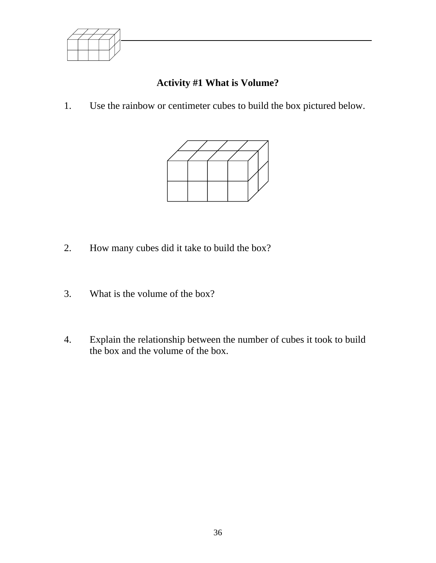<span id="page-35-0"></span>

# **Activity #1 What is Volume?**

1. Use the rainbow or centimeter cubes to build the box pictured below.



- 2. How many cubes did it take to build the box?
- 3. What is the volume of the box?
- 4. Explain the relationship between the number of cubes it took to build the box and the volume of the box.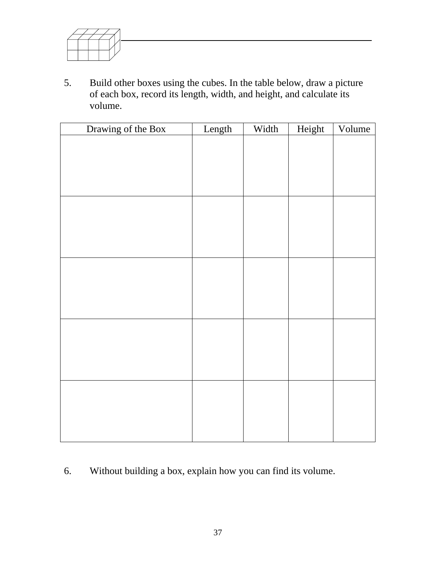

5. Build other boxes using the cubes. In the table below, draw a picture of each box, record its length, width, and height, and calculate its volume.

| Drawing of the Box | Length | Width | Height | Volume |
|--------------------|--------|-------|--------|--------|
|                    |        |       |        |        |
|                    |        |       |        |        |
|                    |        |       |        |        |
|                    |        |       |        |        |
|                    |        |       |        |        |
|                    |        |       |        |        |
|                    |        |       |        |        |
|                    |        |       |        |        |
|                    |        |       |        |        |
|                    |        |       |        |        |
|                    |        |       |        |        |
|                    |        |       |        |        |
|                    |        |       |        |        |
|                    |        |       |        |        |
|                    |        |       |        |        |
|                    |        |       |        |        |
|                    |        |       |        |        |
|                    |        |       |        |        |
|                    |        |       |        |        |
|                    |        |       |        |        |
|                    |        |       |        |        |
|                    |        |       |        |        |

6. Without building a box, explain how you can find its volume.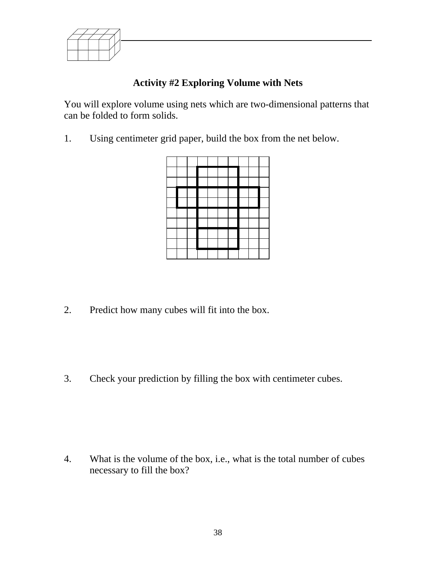<span id="page-37-0"></span>

# **Activity #2 Exploring Volume with Nets**

You will explore volume using nets which are two-dimensional patterns that can be folded to form solids.

1. Using centimeter grid paper, build the box from the net below.



2. Predict how many cubes will fit into the box.

3. Check your prediction by filling the box with centimeter cubes.

4. What is the volume of the box, i.e., what is the total number of cubes necessary to fill the box?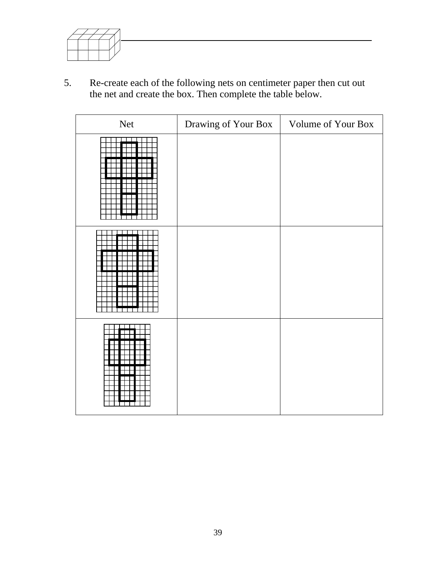

5. Re-create each of the following nets on centimeter paper then cut out the net and create the box. Then complete the table below.

| Net | Drawing of Your Box | Volume of Your Box |
|-----|---------------------|--------------------|
|     |                     |                    |
|     |                     |                    |
|     |                     |                    |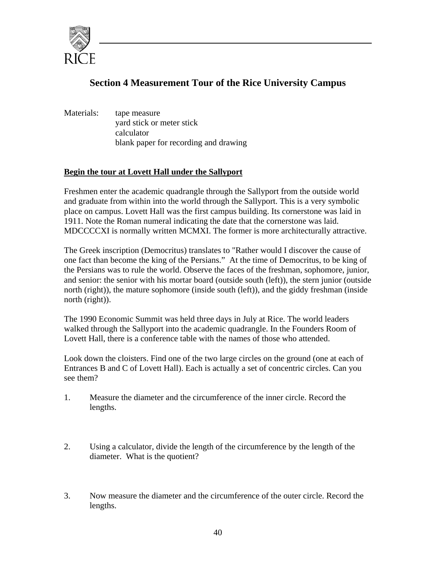<span id="page-39-0"></span>

# **Section 4 Measurement Tour of the Rice University Campus**

Materials: tape measure yard stick or meter stick calculator blank paper for recording and drawing

## **Begin the tour at Lovett Hall under the Sallyport**

Freshmen enter the academic quadrangle through the Sallyport from the outside world and graduate from within into the world through the Sallyport. This is a very symbolic place on campus. Lovett Hall was the first campus building. Its cornerstone was laid in 1911. Note the Roman numeral indicating the date that the cornerstone was laid. MDCCCCXI is normally written MCMXI. The former is more architecturally attractive.

The Greek inscription (Democritus) translates to "Rather would I discover the cause of one fact than become the king of the Persians." At the time of Democritus, to be king of the Persians was to rule the world. Observe the faces of the freshman, sophomore, junior, and senior: the senior with his mortar board (outside south (left)), the stern junior (outside north (right)), the mature sophomore (inside south (left)), and the giddy freshman (inside north (right)).

The 1990 Economic Summit was held three days in July at Rice. The world leaders walked through the Sallyport into the academic quadrangle. In the Founders Room of Lovett Hall, there is a conference table with the names of those who attended.

Look down the cloisters. Find one of the two large circles on the ground (one at each of Entrances B and C of Lovett Hall). Each is actually a set of concentric circles. Can you see them?

- 1. Measure the diameter and the circumference of the inner circle. Record the lengths.
- diameter. What is the quotient? 2. Using a calculator, divide the length of the circumference by the length of the
- 3. Now measure the diameter and the circumference of the outer circle. Record the lengths.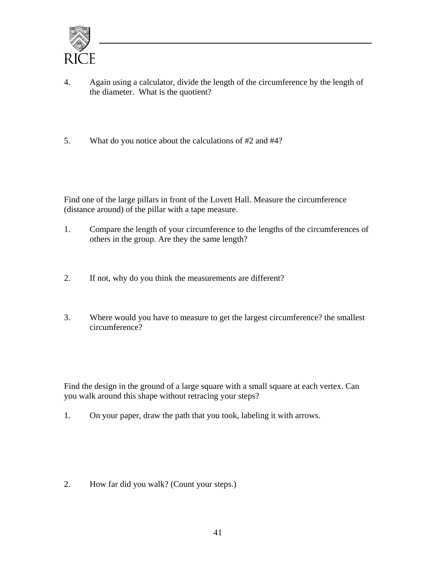

- 4. Again using a calculator, divide the length of the circumference by the length of the diameter. What is the quotient?
- 5. What do you notice about the calculations of #2 and #4?

Find one of the large pillars in front of the Lovett Hall. Measure the circumference (distance around) of the pillar with a tape measure.

- 1. Compare the length of your circumference to the lengths of the circumferences of others in the group. Are they the same length?
- 2. If not, why do you think the measurements are different?
- 3. Where would you have to measure to get the largest circumference? the smallest circumference?

Find the design in the ground of a large square with a small square at each vertex. Can you walk around this shape without retracing your steps?

1. On your paper, draw the path that you took, labeling it with arrows.

2. How far did you walk? (Count your steps.)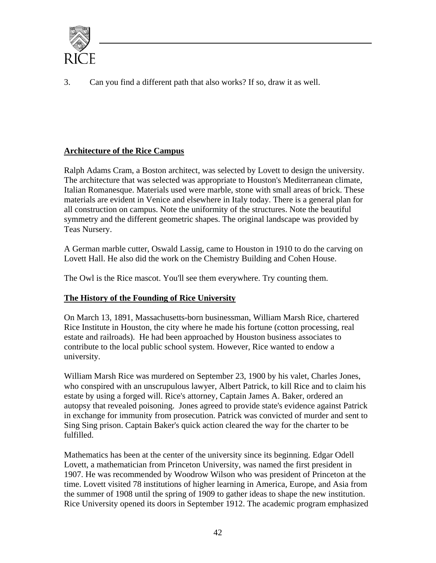

3. Can you find a different path that also works? If so, draw it as well.

## **Architecture of the Rice Campus**

Ralph Adams Cram, a Boston architect, was selected by Lovett to design the university. The architecture that was selected was appropriate to Houston's Mediterranean climate, Italian Romanesque. Materials used were marble, stone with small areas of brick. These materials are evident in Venice and elsewhere in Italy today. There is a general plan for all construction on campus. Note the uniformity of the structures. Note the beautiful symmetry and the different geometric shapes. The original landscape was provided by Teas Nursery.

A German marble cutter, Oswald Lassig, came to Houston in 1910 to do the carving on Lovett Hall. He also did the work on the Chemistry Building and Cohen House.

The Owl is the Rice mascot. You'll see them everywhere. Try counting them.

## **The History of the Founding of Rice University**

On March 13, 1891, Massachusetts-born businessman, William Marsh Rice, chartered Rice Institute in Houston, the city where he made his fortune (cotton processing, real estate and railroads). He had been approached by Houston business associates to contribute to the local public school system. However, Rice wanted to endow a university.

William Marsh Rice was murdered on September 23, 1900 by his valet, Charles Jones, who conspired with an unscrupulous lawyer, Albert Patrick, to kill Rice and to claim his estate by using a forged will. Rice's attorney, Captain James A. Baker, ordered an autopsy that revealed poisoning. Jones agreed to provide state's evidence against Patrick in exchange for immunity from prosecution. Patrick was convicted of murder and sent to Sing Sing prison. Captain Baker's quick action cleared the way for the charter to be fulfilled.

Mathematics has been at the center of the university since its beginning. Edgar Odell Lovett, a mathematician from Princeton University, was named the first president in 1907. He was recommended by Woodrow Wilson who was president of Princeton at the time. Lovett visited 78 institutions of higher learning in America, Europe, and Asia from the summer of 1908 until the spring of 1909 to gather ideas to shape the new institution. Rice University opened its doors in September 1912. The academic program emphasized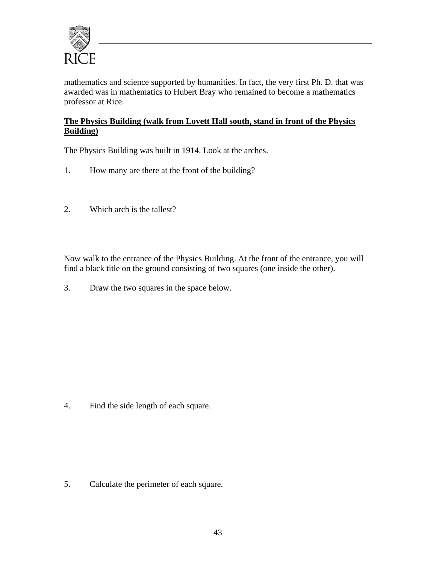

mathematics and science supported by humanities. In fact, the very first Ph. D. that was awarded was in mathematics to Hubert Bray who remained to become a mathematics professor at Rice.

## **The Physics Building (walk from Lovett Hall south, stand in front of the Physics Building)**

The Physics Building was built in 1914. Look at the arches.

- 1. How many are there at the front of the building?<br>2. Which arch is the tallest?
- 

Now walk to the entrance of the Physics Building. At the front of the entrance, you will find a black title on the ground consisting of two squares (one inside the other).

3. Draw the two squares in the space below.

4. Find the side length of each square.

5. Calculate the perimeter of each square.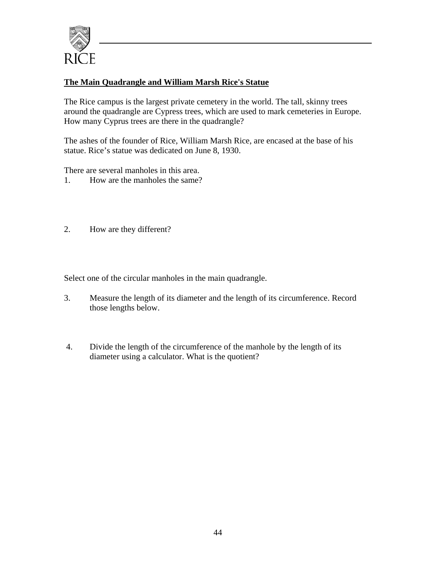

## **The Main Quadrangle and William Marsh Rice's Statue**

The Rice campus is the largest private cemetery in the world. The tall, skinny trees around the quadrangle are Cypress trees, which are used to mark cemeteries in Europe. How many Cyprus trees are there in the quadrangle?

The ashes of the founder of Rice, William Marsh Rice, are encased at the base of his statue. Rice's statue was dedicated on June 8, 1930.

There are several manholes in this area.

- 1. How are the manholes the same?
- 2. How are they different?

Select one of the circular manholes in the main quadrangle.

- 3. Measure the length of its diameter and the length of its circumference. Record those lengths below.
- 4. Divide the length of the circumference of the manhole by the length of its diameter using a calculator. What is the quotient?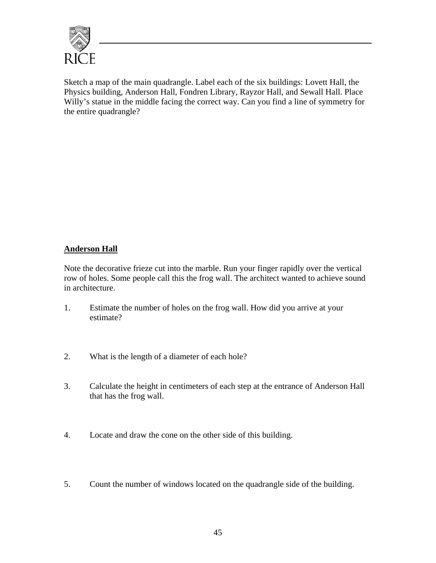

Sketch a map of the main quadrangle. Label each of the six buildings: Lovett Hall, the Physics building, Anderson Hall, Fondren Library, Rayzor Hall, and Sewall Hall. Place Willy's statue in the middle facing the correct way. Can you find a line of symmetry for the entire quadrangle?

## **Anderson Hall**

Note the decorative frieze cut into the marble. Run your finger rapidly over the vertical row of holes. Some people call this the frog wall. The architect wanted to achieve sound in architecture.

- 1. Estimate the number of holes on the frog wall. How did you arrive at your estimate?
- 2. What is the length of a diameter of each hole?
- 3. Calculate the height in centimeters of each step at the entrance of Anderson Hall that has the frog wall.
- 4. Locate and draw the cone on the other side of this building.
- 5. Count the number of windows located on the quadrangle side of the building.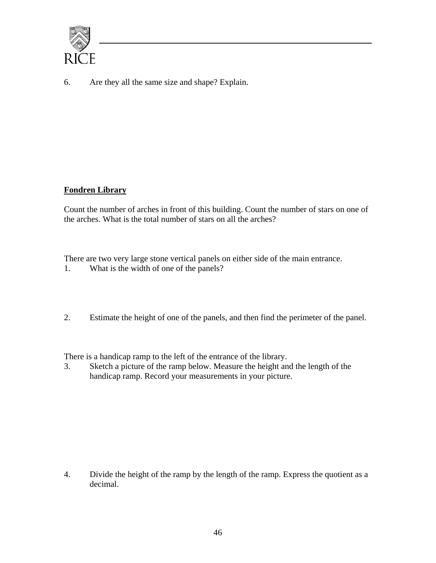

6. Are they all the same size and shape? Explain.

## **Fondren Library**

Count the number of arches in front of this building. Count the number of stars on one of the arches. What is the total number of stars on all the arches?

What is the width of one of the panels? There are two very large stone vertical panels on either side of the main entrance.

1. What is the width of one of the panels?<br>2. Estimate the height of one of the panels, and then find the perimeter of the panel.

There is a handicap ramp to the left of the entrance of the library.

3. Sketch a picture of the ramp below. Measure the height and the length of the handicap ramp. Record your measurements in your picture.

4. Divide the height of the ramp by the length of the ramp. Express the quotient as a decimal.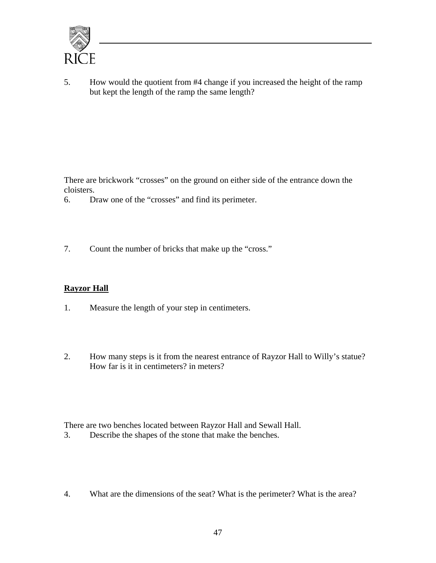

5. How would the quotient from #4 change if you increased the height of the ramp but kept the length of the ramp the same length?

There are brickwork "crosses" on the ground on either side of the entrance down the cloisters.

- 6. Draw one of the "crosses" and find its perimeter.
- 7. Count the number of bricks that make up the "cross."

## **Rayzor Hall**

- 1. Measure the length of your step in centimeters.
- 2. How many steps is it from the nearest entrance of Rayzor Hall to Willy's statue? How far is it in centimeters? in meters?

There are two benches located between Rayzor Hall and Sewall Hall.

- 3. Describe the shapes of the stone that make the benches.
- 4. What are the dimensions of the seat? What is the perimeter? What is the area?